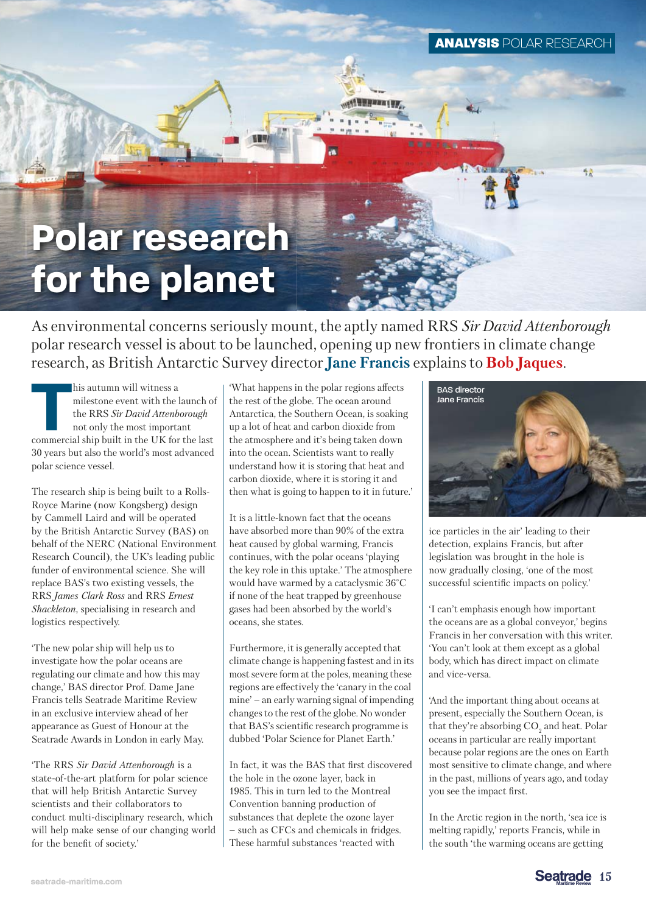# **Polar research for the planet**

As environmental concerns seriously mount, the aptly named RRS *Sir David Attenborough* polar research vessel is about to be launched, opening up new frontiers in climate change research, as British Antarctic Survey director **Jane Francis** explains to **Bob Jaques**.

**THE MAN ISS AND THE MAN ISS AND THE MAN ISSUE OF THE MAN ISSUE OF THE MAN ISSUE OF THE MAN ISSUE OF THE MAN ISSUE OF THE MAN ISSUE OF THE MAN ISSUE OF THE MAN ISSUE OF THE MAN ISSUE OF THE MAN ISSUE OF THE MAN ISSUE OF TH** milestone event with the launch of the RRS *Sir David Attenborough* commercial ship built in the UK for the last 30 years but also the world's most advanced polar science vessel.

The research ship is being built to a Rolls-Royce Marine (now Kongsberg) design by Cammell Laird and will be operated by the British Antarctic Survey (BAS) on behalf of the NERC (National Environment Research Council), the UK's leading public funder of environmental science. She will replace BAS's two existing vessels, the RRS *James Clark Ross* and RRS *Ernest Shackleton*, specialising in research and logistics respectively.

'The new polar ship will help us to investigate how the polar oceans are regulating our climate and how this may change,' BAS director Prof. Dame Jane Francis tells Seatrade Maritime Review in an exclusive interview ahead of her appearance as Guest of Honour at the Seatrade Awards in London in early May.

'The RRS *Sir David Attenborough* is a state-of-the-art platform for polar science that will help British Antarctic Survey scientists and their collaborators to conduct multi-disciplinary research, which will help make sense of our changing world for the benefit of society.'

'What happens in the polar regions affects the rest of the globe. The ocean around Antarctica, the Southern Ocean, is soaking up a lot of heat and carbon dioxide from the atmosphere and it's being taken down into the ocean. Scientists want to really understand how it is storing that heat and carbon dioxide, where it is storing it and then what is going to happen to it in future.'

It is a little-known fact that the oceans have absorbed more than 90% of the extra heat caused by global warming, Francis continues, with the polar oceans 'playing the key role in this uptake.' The atmosphere would have warmed by a cataclysmic 36°C if none of the heat trapped by greenhouse gases had been absorbed by the world's oceans, she states.

Furthermore, it is generally accepted that climate change is happening fastest and in its most severe form at the poles, meaning these regions are effectively the 'canary in the coal mine' – an early warning signal of impending changes to the rest of the globe. No wonder that BAS's scientific research programme is dubbed 'Polar Science for Planet Earth.'

In fact, it was the BAS that first discovered the hole in the ozone layer, back in 1985. This in turn led to the Montreal Convention banning production of substances that deplete the ozone layer – such as CFCs and chemicals in fridges. These harmful substances 'reacted with



ice particles in the air' leading to their detection, explains Francis, but after legislation was brought in the hole is now gradually closing, 'one of the most successful scientific impacts on policy.'

'I can't emphasis enough how important the oceans are as a global conveyor,' begins Francis in her conversation with this writer. 'You can't look at them except as a global body, which has direct impact on climate and vice-versa.

'And the important thing about oceans at present, especially the Southern Ocean, is that they're absorbing  $CO<sub>2</sub>$  and heat. Polar oceans in particular are really important because polar regions are the ones on Earth most sensitive to climate change, and where in the past, millions of years ago, and today you see the impact first.

In the Arctic region in the north, 'sea ice is melting rapidly,' reports Francis, while in the south 'the warming oceans are getting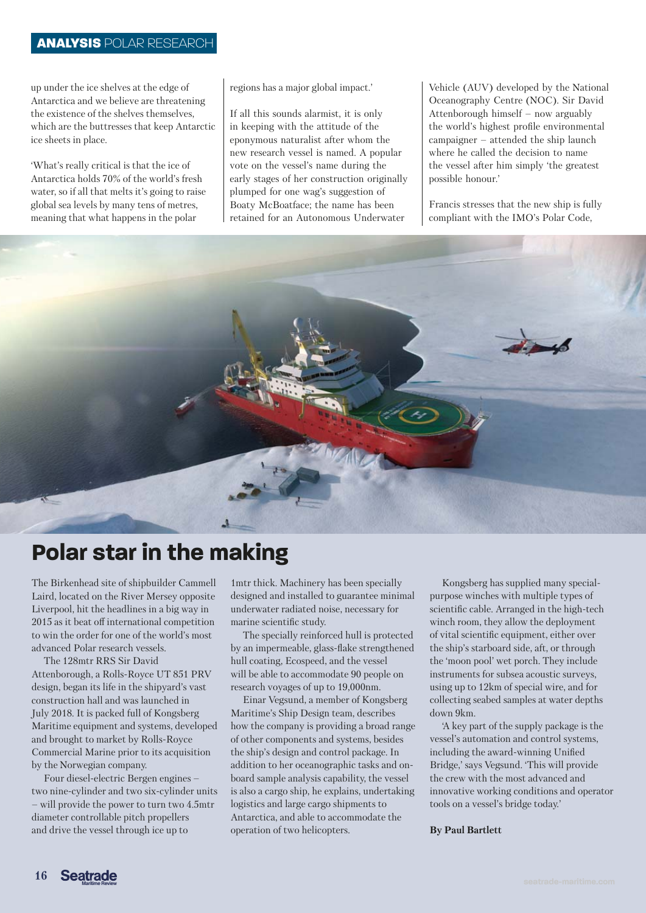up under the ice shelves at the edge of Antarctica and we believe are threatening the existence of the shelves themselves, which are the buttresses that keep Antarctic ice sheets in place.

'What's really critical is that the ice of Antarctica holds 70% of the world's fresh water, so if all that melts it's going to raise global sea levels by many tens of metres, meaning that what happens in the polar

## regions has a major global impact.'

If all this sounds alarmist, it is only in keeping with the attitude of the eponymous naturalist after whom the new research vessel is named. A popular vote on the vessel's name during the early stages of her construction originally plumped for one wag's suggestion of Boaty McBoatface; the name has been retained for an Autonomous Underwater

Vehicle (AUV) developed by the National Oceanography Centre (NOC). Sir David Attenborough himself – now arguably the world's highest profile environmental campaigner – attended the ship launch where he called the decision to name the vessel after him simply 'the greatest possible honour.'

Francis stresses that the new ship is fully compliant with the IMO's Polar Code,



The Birkenhead site of shipbuilder Cammell 1 mtr thick. M Laird, located on the River Mersey opposite Liverpool, hit the headlines in a big way in 2015 as it beat off international competition to win the order for one of the world's most advanced Polar research vessels.

The 128mtr RRS Sir David Attenborough, a Rolls-Royce UT 851 PRV design, began its life in the shipyard's vast construction hall and was launched in July 2018. It is packed full of Kongsberg Maritime equipment and systems, developed and brought to market by Rolls-Royce Commercial Marine prior to its acquisition by the Norwegian company.

Four diesel-electric Bergen engines – two nine-cylinder and two six-cylinder units – will provide the power to turn two 4.5mtr diameter controllable pitch propellers and drive the vessel through ice up to

1mtr thick. Machinery has been specially designed and installed to guarantee minimal underwater radiated noise, necessary for marine scientific study.

The specially reinforced hull is protected by an impermeable, glass-flake strengthened hull coating, Ecospeed, and the vessel will be able to accommodate 90 people on research voyages of up to 19,000nm.

Einar Vegsund, a member of Kongsberg Maritime's Ship Design team, describes how the company is providing a broad range of other components and systems, besides the ship's design and control package. In addition to her oceanographic tasks and onboard sample analysis capability, the vessel is also a cargo ship, he explains, undertaking logistics and large cargo shipments to Antarctica, and able to accommodate the operation of two helicopters.

Kongsberg has supplied many specialpurpose winches with multiple types of scientific cable. Arranged in the high-tech winch room, they allow the deployment of vital scientific equipment, either over the ship's starboard side, aft, or through the 'moon pool' wet porch. They include instruments for subsea acoustic surveys, using up to 12km of special wire, and for collecting seabed samples at water depths down 9km.

'A key part of the supply package is the vessel's automation and control systems, including the award-winning Unified Bridge,' says Vegsund. 'This will provide the crew with the most advanced and innovative working conditions and operator tools on a vessel's bridge today.'

### **By Paul Bartlett**